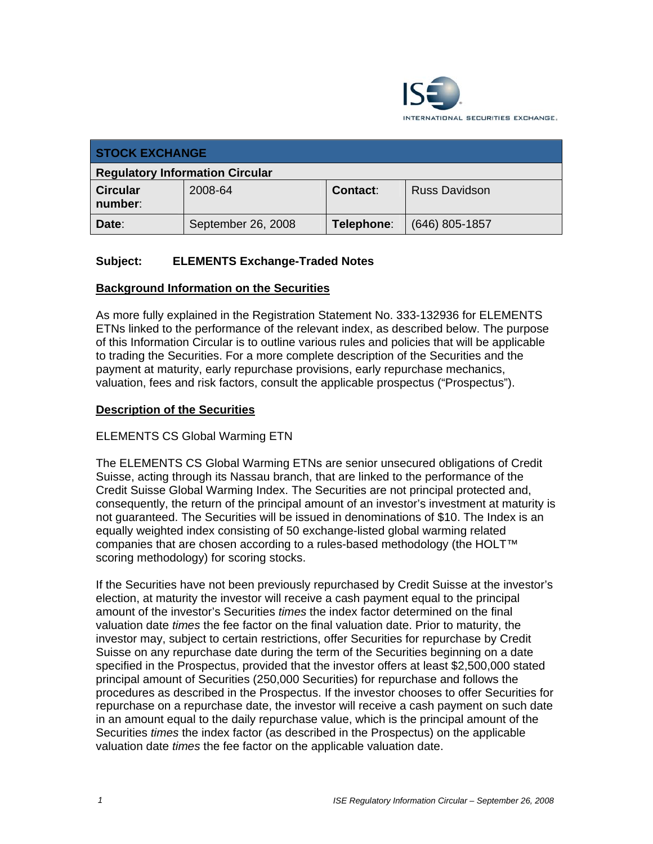

| <b>STOCK EXCHANGE</b>                  |                    |                 |                      |  |
|----------------------------------------|--------------------|-----------------|----------------------|--|
| <b>Regulatory Information Circular</b> |                    |                 |                      |  |
| <b>Circular</b><br>number:             | 2008-64            | <b>Contact:</b> | <b>Russ Davidson</b> |  |
| Date:                                  | September 26, 2008 | Telephone:      | $(646)$ 805-1857     |  |

# **Subject: ELEMENTS Exchange-Traded Notes**

#### **Background Information on the Securities**

As more fully explained in the Registration Statement No. 333-132936 for ELEMENTS ETNs linked to the performance of the relevant index, as described below. The purpose of this Information Circular is to outline various rules and policies that will be applicable to trading the Securities. For a more complete description of the Securities and the payment at maturity, early repurchase provisions, early repurchase mechanics, valuation, fees and risk factors, consult the applicable prospectus ("Prospectus").

#### **Description of the Securities**

#### ELEMENTS CS Global Warming ETN

The ELEMENTS CS Global Warming ETNs are senior unsecured obligations of Credit Suisse, acting through its Nassau branch, that are linked to the performance of the Credit Suisse Global Warming Index. The Securities are not principal protected and, consequently, the return of the principal amount of an investor's investment at maturity is not guaranteed. The Securities will be issued in denominations of \$10. The Index is an equally weighted index consisting of 50 exchange-listed global warming related companies that are chosen according to a rules-based methodology (the HOLT™ scoring methodology) for scoring stocks.

If the Securities have not been previously repurchased by Credit Suisse at the investor's election, at maturity the investor will receive a cash payment equal to the principal amount of the investor's Securities *times* the index factor determined on the final valuation date *times* the fee factor on the final valuation date. Prior to maturity, the investor may, subject to certain restrictions, offer Securities for repurchase by Credit Suisse on any repurchase date during the term of the Securities beginning on a date specified in the Prospectus, provided that the investor offers at least \$2,500,000 stated principal amount of Securities (250,000 Securities) for repurchase and follows the procedures as described in the Prospectus. If the investor chooses to offer Securities for repurchase on a repurchase date, the investor will receive a cash payment on such date in an amount equal to the daily repurchase value, which is the principal amount of the Securities *times* the index factor (as described in the Prospectus) on the applicable valuation date *times* the fee factor on the applicable valuation date.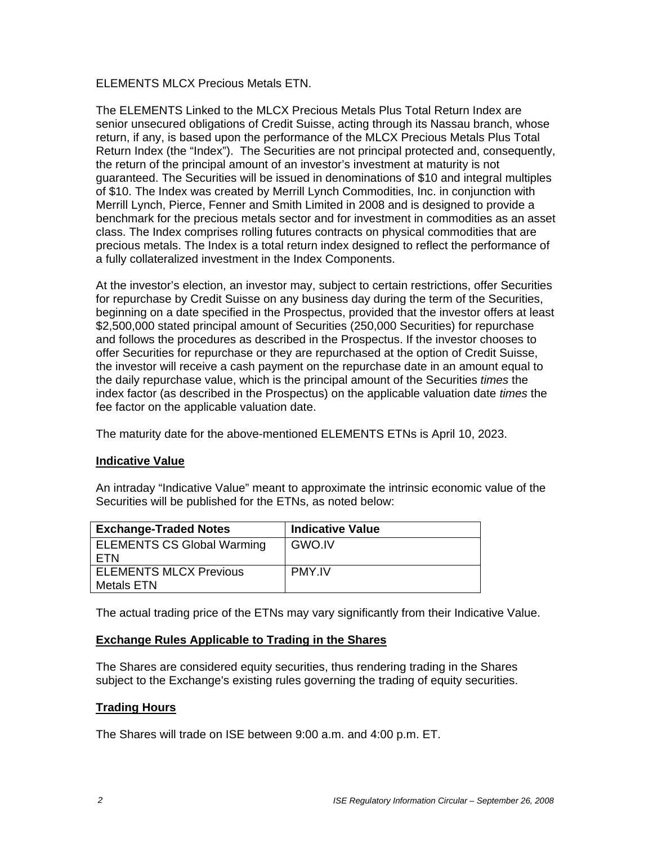ELEMENTS MLCX Precious Metals ETN.

The ELEMENTS Linked to the MLCX Precious Metals Plus Total Return Index are senior unsecured obligations of Credit Suisse, acting through its Nassau branch, whose return, if any, is based upon the performance of the MLCX Precious Metals Plus Total Return Index (the "Index"). The Securities are not principal protected and, consequently, the return of the principal amount of an investor's investment at maturity is not guaranteed. The Securities will be issued in denominations of \$10 and integral multiples of \$10. The Index was created by Merrill Lynch Commodities, Inc. in conjunction with Merrill Lynch, Pierce, Fenner and Smith Limited in 2008 and is designed to provide a benchmark for the precious metals sector and for investment in commodities as an asset class. The Index comprises rolling futures contracts on physical commodities that are precious metals. The Index is a total return index designed to reflect the performance of a fully collateralized investment in the Index Components.

At the investor's election, an investor may, subject to certain restrictions, offer Securities for repurchase by Credit Suisse on any business day during the term of the Securities, beginning on a date specified in the Prospectus, provided that the investor offers at least \$2,500,000 stated principal amount of Securities (250,000 Securities) for repurchase and follows the procedures as described in the Prospectus. If the investor chooses to offer Securities for repurchase or they are repurchased at the option of Credit Suisse, the investor will receive a cash payment on the repurchase date in an amount equal to the daily repurchase value, which is the principal amount of the Securities *times* the index factor (as described in the Prospectus) on the applicable valuation date *times* the fee factor on the applicable valuation date.

The maturity date for the above-mentioned ELEMENTS ETNs is April 10, 2023.

### **Indicative Value**

An intraday "Indicative Value" meant to approximate the intrinsic economic value of the Securities will be published for the ETNs, as noted below:

| <b>Exchange-Traded Notes</b>      | <b>Indicative Value</b> |
|-----------------------------------|-------------------------|
| <b>ELEMENTS CS Global Warming</b> | GWO.IV                  |
| <b>FTN</b>                        |                         |
| <b>ELEMENTS MLCX Previous</b>     | <b>PMY IV</b>           |
| <b>Metals ETN</b>                 |                         |

The actual trading price of the ETNs may vary significantly from their Indicative Value.

### **Exchange Rules Applicable to Trading in the Shares**

The Shares are considered equity securities, thus rendering trading in the Shares subject to the Exchange's existing rules governing the trading of equity securities.

### **Trading Hours**

The Shares will trade on ISE between 9:00 a.m. and 4:00 p.m. ET.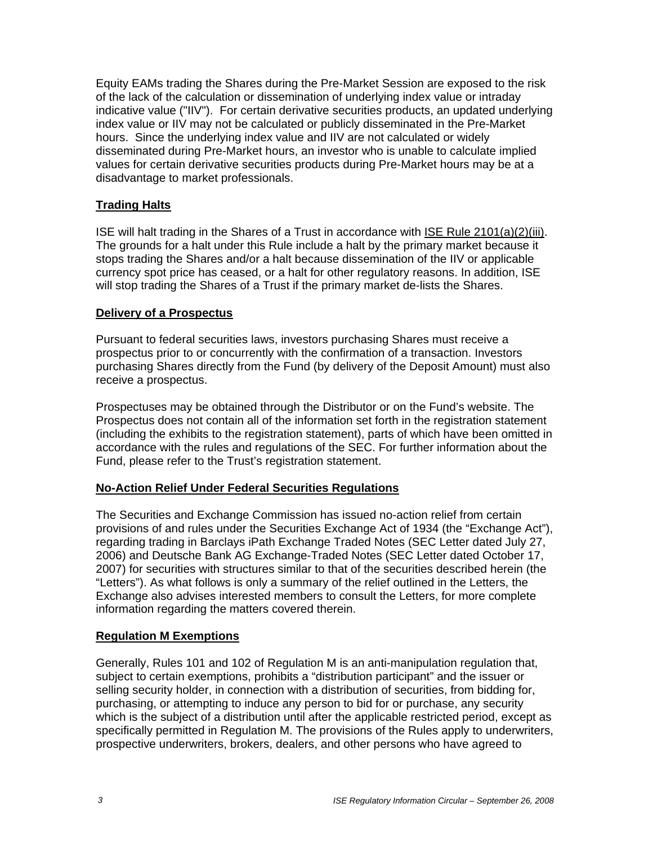Equity EAMs trading the Shares during the Pre-Market Session are exposed to the risk of the lack of the calculation or dissemination of underlying index value or intraday indicative value ("IIV"). For certain derivative securities products, an updated underlying index value or IIV may not be calculated or publicly disseminated in the Pre-Market hours. Since the underlying index value and IIV are not calculated or widely disseminated during Pre-Market hours, an investor who is unable to calculate implied values for certain derivative securities products during Pre-Market hours may be at a disadvantage to market professionals.

# **Trading Halts**

ISE will halt trading in the Shares of a Trust in accordance with ISE Rule 2101(a)(2)(iii). The grounds for a halt under this Rule include a halt by the primary market because it stops trading the Shares and/or a halt because dissemination of the IIV or applicable currency spot price has ceased, or a halt for other regulatory reasons. In addition, ISE will stop trading the Shares of a Trust if the primary market de-lists the Shares.

### **Delivery of a Prospectus**

Pursuant to federal securities laws, investors purchasing Shares must receive a prospectus prior to or concurrently with the confirmation of a transaction. Investors purchasing Shares directly from the Fund (by delivery of the Deposit Amount) must also receive a prospectus.

Prospectuses may be obtained through the Distributor or on the Fund's website. The Prospectus does not contain all of the information set forth in the registration statement (including the exhibits to the registration statement), parts of which have been omitted in accordance with the rules and regulations of the SEC. For further information about the Fund, please refer to the Trust's registration statement.

### **No-Action Relief Under Federal Securities Regulations**

The Securities and Exchange Commission has issued no-action relief from certain provisions of and rules under the Securities Exchange Act of 1934 (the "Exchange Act"), regarding trading in Barclays iPath Exchange Traded Notes (SEC Letter dated July 27, 2006) and Deutsche Bank AG Exchange-Traded Notes (SEC Letter dated October 17, 2007) for securities with structures similar to that of the securities described herein (the "Letters"). As what follows is only a summary of the relief outlined in the Letters, the Exchange also advises interested members to consult the Letters, for more complete information regarding the matters covered therein.

### **Regulation M Exemptions**

Generally, Rules 101 and 102 of Regulation M is an anti-manipulation regulation that, subject to certain exemptions, prohibits a "distribution participant" and the issuer or selling security holder, in connection with a distribution of securities, from bidding for, purchasing, or attempting to induce any person to bid for or purchase, any security which is the subject of a distribution until after the applicable restricted period, except as specifically permitted in Regulation M. The provisions of the Rules apply to underwriters, prospective underwriters, brokers, dealers, and other persons who have agreed to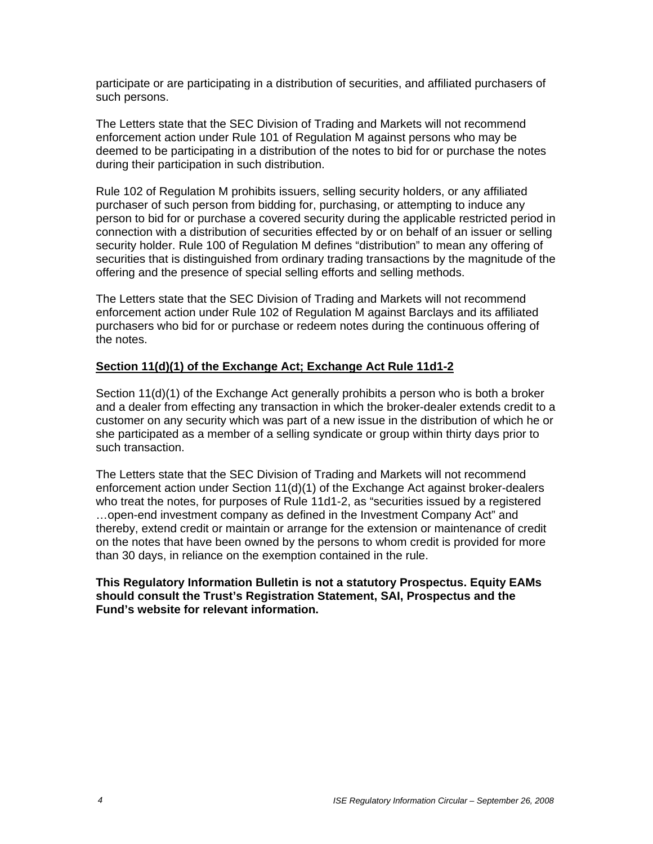participate or are participating in a distribution of securities, and affiliated purchasers of such persons.

The Letters state that the SEC Division of Trading and Markets will not recommend enforcement action under Rule 101 of Regulation M against persons who may be deemed to be participating in a distribution of the notes to bid for or purchase the notes during their participation in such distribution.

Rule 102 of Regulation M prohibits issuers, selling security holders, or any affiliated purchaser of such person from bidding for, purchasing, or attempting to induce any person to bid for or purchase a covered security during the applicable restricted period in connection with a distribution of securities effected by or on behalf of an issuer or selling security holder. Rule 100 of Regulation M defines "distribution" to mean any offering of securities that is distinguished from ordinary trading transactions by the magnitude of the offering and the presence of special selling efforts and selling methods.

The Letters state that the SEC Division of Trading and Markets will not recommend enforcement action under Rule 102 of Regulation M against Barclays and its affiliated purchasers who bid for or purchase or redeem notes during the continuous offering of the notes.

### **Section 11(d)(1) of the Exchange Act; Exchange Act Rule 11d1-2**

Section 11(d)(1) of the Exchange Act generally prohibits a person who is both a broker and a dealer from effecting any transaction in which the broker-dealer extends credit to a customer on any security which was part of a new issue in the distribution of which he or she participated as a member of a selling syndicate or group within thirty days prior to such transaction.

The Letters state that the SEC Division of Trading and Markets will not recommend enforcement action under Section 11(d)(1) of the Exchange Act against broker-dealers who treat the notes, for purposes of Rule 11d1-2, as "securities issued by a registered …open-end investment company as defined in the Investment Company Act" and thereby, extend credit or maintain or arrange for the extension or maintenance of credit on the notes that have been owned by the persons to whom credit is provided for more than 30 days, in reliance on the exemption contained in the rule.

#### **This Regulatory Information Bulletin is not a statutory Prospectus. Equity EAMs should consult the Trust's Registration Statement, SAI, Prospectus and the Fund's website for relevant information.**